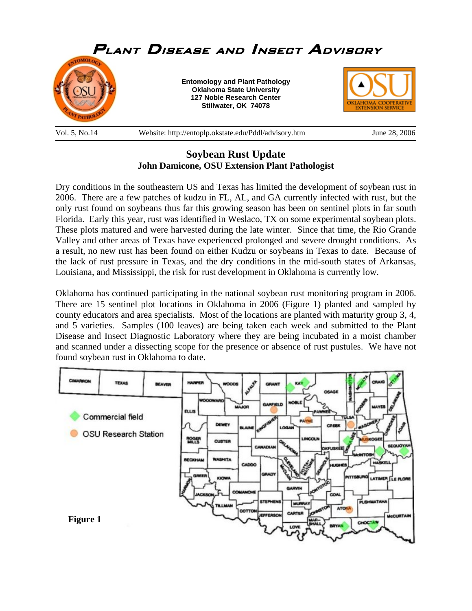

## **Soybean Rust Update John Damicone, OSU Extension Plant Pathologist**

Dry conditions in the southeastern US and Texas has limited the development of soybean rust in 2006. There are a few patches of kudzu in FL, AL, and GA currently infected with rust, but the only rust found on soybeans thus far this growing season has been on sentinel plots in far south Florida. Early this year, rust was identified in Weslaco, TX on some experimental soybean plots. These plots matured and were harvested during the late winter. Since that time, the Rio Grande Valley and other areas of Texas have experienced prolonged and severe drought conditions. As a result, no new rust has been found on either Kudzu or soybeans in Texas to date. Because of the lack of rust pressure in Texas, and the dry conditions in the mid-south states of Arkansas, Louisiana, and Mississippi, the risk for rust development in Oklahoma is currently low.

Oklahoma has continued participating in the national soybean rust monitoring program in 2006. There are 15 sentinel plot locations in Oklahoma in 2006 (Figure 1) planted and sampled by county educators and area specialists. Most of the locations are planted with maturity group 3, 4, and 5 varieties. Samples (100 leaves) are being taken each week and submitted to the Plant Disease and Insect Diagnostic Laboratory where they are being incubated in a moist chamber and scanned under a dissecting scope for the presence or absence of rust pustules. We have not found soybean rust in Oklahoma to date.

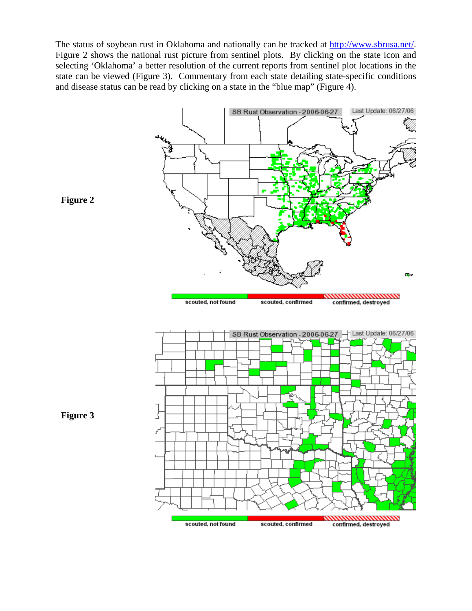The status of soybean rust in Oklahoma and nationally can be tracked at http://www.sbrusa.net/. Figure 2 shows the national rust picture from sentinel plots. By clicking on the state icon and selecting 'Oklahoma' a better resolution of the current reports from sentinel plot locations in the state can be viewed (Figure 3). Commentary from each state detailing state-specific conditions and disease status can be read by clicking on a state in the "blue map" (Figure 4).